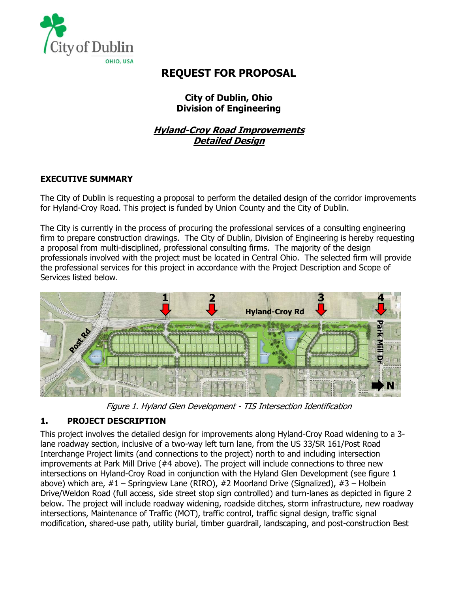

# **REQUEST FOR PROPOSAL**

## **City of Dublin, Ohio Division of Engineering**

## **Hyland-Croy Road Improvements Detailed Design**

## **EXECUTIVE SUMMARY**

The City of Dublin is requesting a proposal to perform the detailed design of the corridor improvements for Hyland-Croy Road. This project is funded by Union County and the City of Dublin.

The City is currently in the process of procuring the professional services of a consulting engineering firm to prepare construction drawings. The City of Dublin, Division of Engineering is hereby requesting a proposal from multi-disciplined, professional consulting firms. The majority of the design professionals involved with the project must be located in Central Ohio. The selected firm will provide the professional services for this project in accordance with the Project Description and Scope of Services listed below.



Figure 1. Hyland Glen Development - TIS Intersection Identification

## **1. PROJECT DESCRIPTION**

This project involves the detailed design for improvements along Hyland-Croy Road widening to a 3 lane roadway section, inclusive of a two-way left turn lane, from the US 33/SR 161/Post Road Interchange Project limits (and connections to the project) north to and including intersection improvements at Park Mill Drive (#4 above). The project will include connections to three new intersections on Hyland-Croy Road in conjunction with the Hyland Glen Development (see figure 1 above) which are,  $\#1$  – Springview Lane (RIRO),  $\#2$  Moorland Drive (Signalized),  $\#3$  – Holbein Drive/Weldon Road (full access, side street stop sign controlled) and turn-lanes as depicted in figure 2 below. The project will include roadway widening, roadside ditches, storm infrastructure, new roadway intersections, Maintenance of Traffic (MOT), traffic control, traffic signal design, traffic signal modification, shared-use path, utility burial, timber guardrail, landscaping, and post-construction Best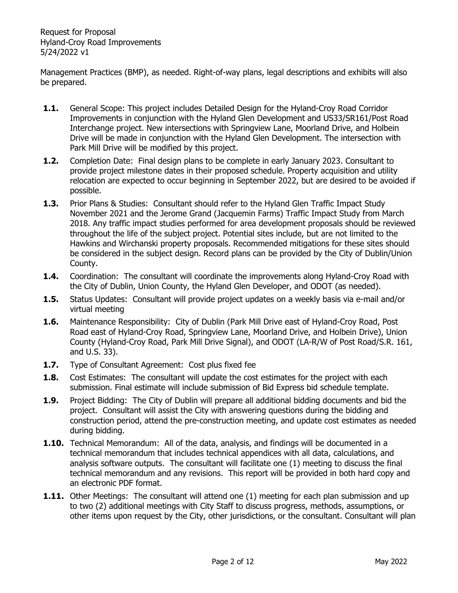Management Practices (BMP), as needed. Right-of-way plans, legal descriptions and exhibits will also be prepared.

- **1.1.** General Scope: This project includes Detailed Design for the Hyland-Croy Road Corridor Improvements in conjunction with the Hyland Glen Development and US33/SR161/Post Road Interchange project. New intersections with Springview Lane, Moorland Drive, and Holbein Drive will be made in conjunction with the Hyland Glen Development. The intersection with Park Mill Drive will be modified by this project.
- **1.2.** Completion Date: Final design plans to be complete in early January 2023. Consultant to provide project milestone dates in their proposed schedule. Property acquisition and utility relocation are expected to occur beginning in September 2022, but are desired to be avoided if possible.
- **1.3.** Prior Plans & Studies: Consultant should refer to the Hyland Glen Traffic Impact Study November 2021 and the Jerome Grand (Jacquemin Farms) Traffic Impact Study from March 2018. Any traffic impact studies performed for area development proposals should be reviewed throughout the life of the subject project. Potential sites include, but are not limited to the Hawkins and Wirchanski property proposals. Recommended mitigations for these sites should be considered in the subject design. Record plans can be provided by the City of Dublin/Union County.
- **1.4.** Coordination: The consultant will coordinate the improvements along Hyland-Croy Road with the City of Dublin, Union County, the Hyland Glen Developer, and ODOT (as needed).
- **1.5.** Status Updates: Consultant will provide project updates on a weekly basis via e-mail and/or virtual meeting
- **1.6.** Maintenance Responsibility: City of Dublin (Park Mill Drive east of Hyland-Croy Road, Post Road east of Hyland-Croy Road, Springview Lane, Moorland Drive, and Holbein Drive), Union County (Hyland-Croy Road, Park Mill Drive Signal), and ODOT (LA-R/W of Post Road/S.R. 161, and U.S. 33).
- **1.7.** Type of Consultant Agreement: Cost plus fixed fee
- **1.8.** Cost Estimates: The consultant will update the cost estimates for the project with each submission. Final estimate will include submission of Bid Express bid schedule template.
- **1.9.** Project Bidding: The City of Dublin will prepare all additional bidding documents and bid the project. Consultant will assist the City with answering questions during the bidding and construction period, attend the pre-construction meeting, and update cost estimates as needed during bidding.
- **1.10.** Technical Memorandum: All of the data, analysis, and findings will be documented in a technical memorandum that includes technical appendices with all data, calculations, and analysis software outputs. The consultant will facilitate one (1) meeting to discuss the final technical memorandum and any revisions. This report will be provided in both hard copy and an electronic PDF format.
- **1.11.** Other Meetings: The consultant will attend one (1) meeting for each plan submission and up to two (2) additional meetings with City Staff to discuss progress, methods, assumptions, or other items upon request by the City, other jurisdictions, or the consultant. Consultant will plan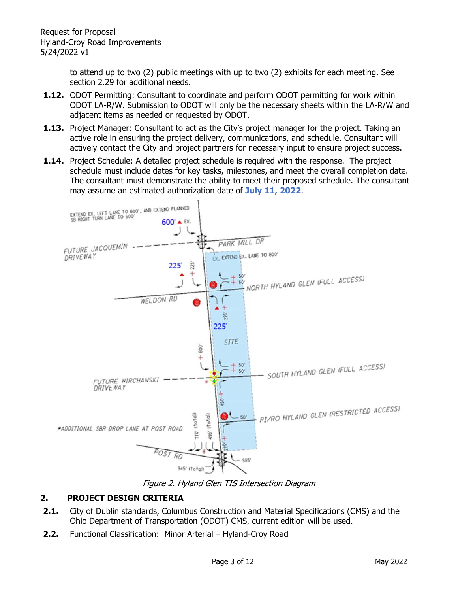to attend up to two (2) public meetings with up to two (2) exhibits for each meeting. See section 2.29 for additional needs.

- **1.12.** ODOT Permitting: Consultant to coordinate and perform ODOT permitting for work within ODOT LA-R/W. Submission to ODOT will only be the necessary sheets within the LA-R/W and adjacent items as needed or requested by ODOT.
- **1.13.** Project Manager: Consultant to act as the City's project manager for the project. Taking an active role in ensuring the project delivery, communications, and schedule. Consultant will actively contact the City and project partners for necessary input to ensure project success.
- **1.14.** Project Schedule: A detailed project schedule is required with the response. The project schedule must include dates for key tasks, milestones, and meet the overall completion date. The consultant must demonstrate the ability to meet their proposed schedule. The consultant may assume an estimated authorization date of **July 11, 2022**.



Figure 2. Hyland Glen TIS Intersection Diagram

## **2. PROJECT DESIGN CRITERIA**

- **2.1.** City of Dublin standards, Columbus Construction and Material Specifications (CMS) and the Ohio Department of Transportation (ODOT) CMS, current edition will be used.
- **2.2.** Functional Classification: Minor Arterial Hyland-Croy Road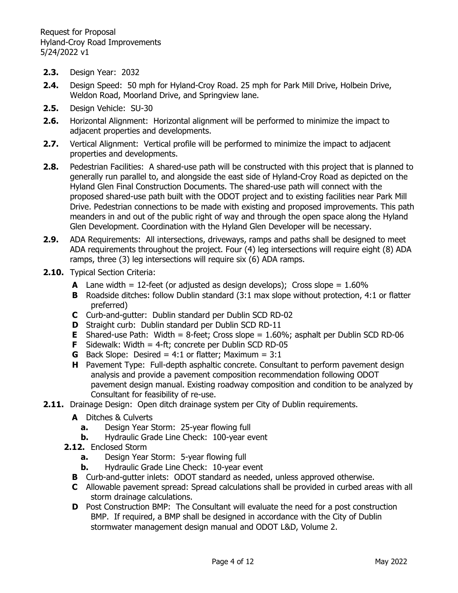- **2.3.** Design Year: 2032
- **2.4.** Design Speed: 50 mph for Hyland-Croy Road. 25 mph for Park Mill Drive, Holbein Drive, Weldon Road, Moorland Drive, and Springview lane.
- **2.5.** Design Vehicle: SU-30
- **2.6.** Horizontal Alignment: Horizontal alignment will be performed to minimize the impact to adjacent properties and developments.
- **2.7.** Vertical Alignment: Vertical profile will be performed to minimize the impact to adjacent properties and developments.
- **2.8.** Pedestrian Facilities: A shared-use path will be constructed with this project that is planned to generally run parallel to, and alongside the east side of Hyland-Croy Road as depicted on the Hyland Glen Final Construction Documents. The shared-use path will connect with the proposed shared-use path built with the ODOT project and to existing facilities near Park Mill Drive. Pedestrian connections to be made with existing and proposed improvements. This path meanders in and out of the public right of way and through the open space along the Hyland Glen Development. Coordination with the Hyland Glen Developer will be necessary.
- **2.9.** ADA Requirements: All intersections, driveways, ramps and paths shall be designed to meet ADA requirements throughout the project. Four (4) leg intersections will require eight (8) ADA ramps, three (3) leg intersections will require six (6) ADA ramps.
- **2.10.** Typical Section Criteria:
	- **A** Lane width  $= 12$ -feet (or adjusted as design develops); Cross slope  $= 1.60\%$
	- **B** Roadside ditches: follow Dublin standard (3:1 max slope without protection, 4:1 or flatter preferred)
	- **C** Curb-and-gutter: Dublin standard per Dublin SCD RD-02
	- **D** Straight curb: Dublin standard per Dublin SCD RD-11
	- **E** Shared-use Path: Width = 8-feet; Cross slope =  $1.60\%$ ; asphalt per Dublin SCD RD-06
	- **F** Sidewalk: Width = 4-ft; concrete per Dublin SCD RD-05
	- **G** Back Slope: Desired =  $4:1$  or flatter; Maximum =  $3:1$
	- **H** Pavement Type: Full-depth asphaltic concrete. Consultant to perform pavement design analysis and provide a pavement composition recommendation following ODOT pavement design manual. Existing roadway composition and condition to be analyzed by Consultant for feasibility of re-use.
- **2.11.** Drainage Design: Open ditch drainage system per City of Dublin requirements.
	- **A** Ditches & Culverts
		- **a.** Design Year Storm: 25-year flowing full
		- **b.** Hydraulic Grade Line Check: 100-year event
	- **2.12.** Enclosed Storm
		- **a.** Design Year Storm: 5-year flowing full
		- **b.** Hydraulic Grade Line Check: 10-year event
		- **B** Curb-and-gutter inlets: ODOT standard as needed, unless approved otherwise.
		- **C** Allowable pavement spread: Spread calculations shall be provided in curbed areas with all storm drainage calculations.
		- **D** Post Construction BMP: The Consultant will evaluate the need for a post construction BMP. If required, a BMP shall be designed in accordance with the City of Dublin stormwater management design manual and ODOT L&D, Volume 2.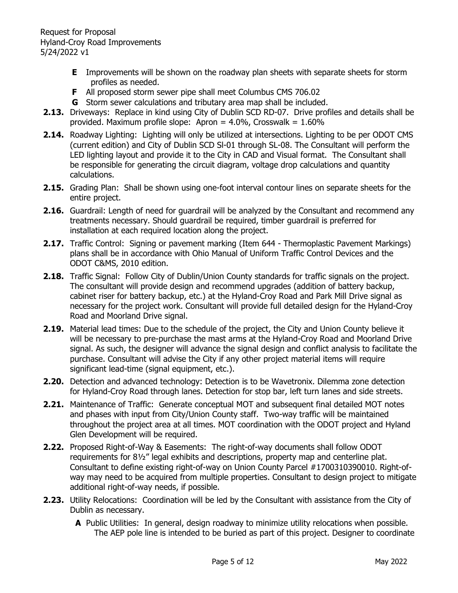- **E** Improvements will be shown on the roadway plan sheets with separate sheets for storm profiles as needed.
- **F** All proposed storm sewer pipe shall meet Columbus CMS 706.02
- **G** Storm sewer calculations and tributary area map shall be included.
- **2.13.** Driveways: Replace in kind using City of Dublin SCD RD-07. Drive profiles and details shall be provided. Maximum profile slope: Apron =  $4.0\%$ , Crosswalk =  $1.60\%$
- **2.14.** Roadway Lighting: Lighting will only be utilized at intersections. Lighting to be per ODOT CMS (current edition) and City of Dublin SCD Sl-01 through SL-08. The Consultant will perform the LED lighting layout and provide it to the City in CAD and Visual format. The Consultant shall be responsible for generating the circuit diagram, voltage drop calculations and quantity calculations.
- **2.15.** Grading Plan: Shall be shown using one-foot interval contour lines on separate sheets for the entire project.
- **2.16.** Guardrail: Length of need for guardrail will be analyzed by the Consultant and recommend any treatments necessary. Should guardrail be required, timber guardrail is preferred for installation at each required location along the project.
- **2.17.** Traffic Control: Signing or pavement marking (Item 644 Thermoplastic Pavement Markings) plans shall be in accordance with Ohio Manual of Uniform Traffic Control Devices and the ODOT C&MS, 2010 edition.
- **2.18.** Traffic Signal: Follow City of Dublin/Union County standards for traffic signals on the project. The consultant will provide design and recommend upgrades (addition of battery backup, cabinet riser for battery backup, etc.) at the Hyland-Croy Road and Park Mill Drive signal as necessary for the project work. Consultant will provide full detailed design for the Hyland-Croy Road and Moorland Drive signal.
- **2.19.** Material lead times: Due to the schedule of the project, the City and Union County believe it will be necessary to pre-purchase the mast arms at the Hyland-Croy Road and Moorland Drive signal. As such, the designer will advance the signal design and conflict analysis to facilitate the purchase. Consultant will advise the City if any other project material items will require significant lead-time (signal equipment, etc.).
- **2.20.** Detection and advanced technology: Detection is to be Wavetronix. Dilemma zone detection for Hyland-Croy Road through lanes. Detection for stop bar, left turn lanes and side streets.
- **2.21.** Maintenance of Traffic: Generate conceptual MOT and subsequent final detailed MOT notes and phases with input from City/Union County staff. Two-way traffic will be maintained throughout the project area at all times. MOT coordination with the ODOT project and Hyland Glen Development will be required.
- **2.22.** Proposed Right-of-Way & Easements: The right-of-way documents shall follow ODOT requirements for 8½" legal exhibits and descriptions, property map and centerline plat. Consultant to define existing right-of-way on Union County Parcel #1700310390010. Right-ofway may need to be acquired from multiple properties. Consultant to design project to mitigate additional right-of-way needs, if possible.
- **2.23.** Utility Relocations: Coordination will be led by the Consultant with assistance from the City of Dublin as necessary.
	- **A** Public Utilities: In general, design roadway to minimize utility relocations when possible. The AEP pole line is intended to be buried as part of this project. Designer to coordinate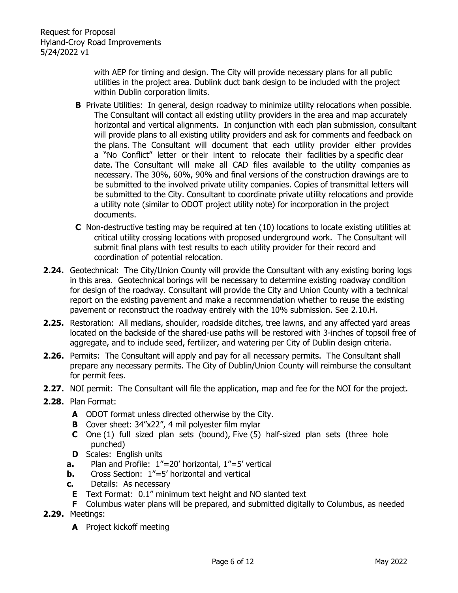with AEP for timing and design. The City will provide necessary plans for all public utilities in the project area. Dublink duct bank design to be included with the project within Dublin corporation limits.

- **B** Private Utilities: In general, design roadway to minimize utility relocations when possible. The Consultant will contact all existing utility providers in the area and map accurately horizontal and vertical alignments. In conjunction with each plan submission, consultant will provide plans to all existing utility providers and ask for comments and feedback on the plans. The Consultant will document that each utility provider either provides a "No Conflict" letter or their intent to relocate their facilities by a specific clear date. The Consultant will make all CAD files available to the utility companies as necessary. The 30%, 60%, 90% and final versions of the construction drawings are to be submitted to the involved private utility companies. Copies of transmittal letters will be submitted to the City. Consultant to coordinate private utility relocations and provide a utility note (similar to ODOT project utility note) for incorporation in the project documents.
- **C** Non-destructive testing may be required at ten (10) locations to locate existing utilities at critical utility crossing locations with proposed underground work. The Consultant will submit final plans with test results to each utility provider for their record and coordination of potential relocation.
- **2.24.** Geotechnical: The City/Union County will provide the Consultant with any existing boring logs in this area. Geotechnical borings will be necessary to determine existing roadway condition for design of the roadway. Consultant will provide the City and Union County with a technical report on the existing pavement and make a recommendation whether to reuse the existing pavement or reconstruct the roadway entirely with the 10% submission. See 2.10.H.
- **2.25.** Restoration: All medians, shoulder, roadside ditches, tree lawns, and any affected yard areas located on the backside of the shared-use paths will be restored with 3-inches of topsoil free of aggregate, and to include seed, fertilizer, and watering per City of Dublin design criteria.
- **2.26.** Permits: The Consultant will apply and pay for all necessary permits. The Consultant shall prepare any necessary permits. The City of Dublin/Union County will reimburse the consultant for permit fees.
- **2.27.** NOI permit: The Consultant will file the application, map and fee for the NOI for the project.
- **2.28.** Plan Format:
	- **A** ODOT format unless directed otherwise by the City.
	- **B** Cover sheet: 34"x22", 4 mil polyester film mylar
	- **C** One (1) full sized plan sets (bound), Five (5) half-sized plan sets (three hole punched)
	- **D** Scales: English units
	- **a.** Plan and Profile: 1"=20' horizontal, 1"=5' vertical
	- **b.** Cross Section: 1"=5' horizontal and vertical
	- **c.** Details: As necessary
	- **E** Text Format: 0.1" minimum text height and NO slanted text
	- **F** Columbus water plans will be prepared, and submitted digitally to Columbus, as needed
- **2.29.** Meetings:
	- **A** Project kickoff meeting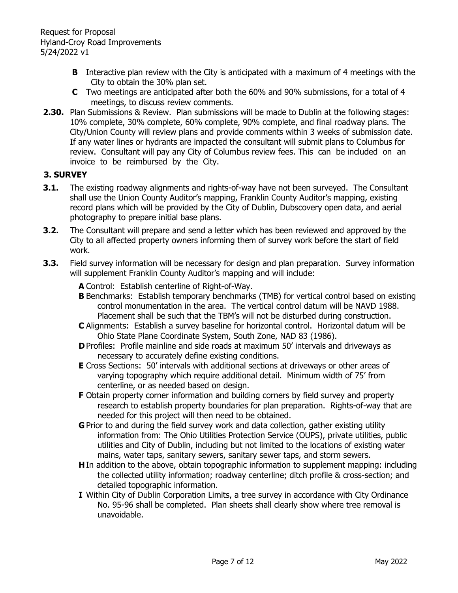- **B** Interactive plan review with the City is anticipated with a maximum of 4 meetings with the City to obtain the 30% plan set.
- **C** Two meetings are anticipated after both the 60% and 90% submissions, for a total of 4 meetings, to discuss review comments.
- **2.30.** Plan Submissions & Review. Plan submissions will be made to Dublin at the following stages: 10% complete, 30% complete, 60% complete, 90% complete, and final roadway plans. The City/Union County will review plans and provide comments within 3 weeks of submission date. If any water lines or hydrants are impacted the consultant will submit plans to Columbus for review. Consultant will pay any City of Columbus review fees. This can be included on an invoice to be reimbursed by the City.

### **3. SURVEY**

- **3.1.** The existing roadway alignments and rights-of-way have not been surveyed. The Consultant shall use the Union County Auditor's mapping, Franklin County Auditor's mapping, existing record plans which will be provided by the City of Dublin, Dubscovery open data, and aerial photography to prepare initial base plans.
- **3.2.** The Consultant will prepare and send a letter which has been reviewed and approved by the City to all affected property owners informing them of survey work before the start of field work.
- **3.3.** Field survey information will be necessary for design and plan preparation. Survey information will supplement Franklin County Auditor's mapping and will include:

**A** Control: Establish centerline of Right-of-Way.

- **B** Benchmarks: Establish temporary benchmarks (TMB) for vertical control based on existing control monumentation in the area. The vertical control datum will be NAVD 1988. Placement shall be such that the TBM's will not be disturbed during construction.
- **C** Alignments: Establish a survey baseline for horizontal control. Horizontal datum will be Ohio State Plane Coordinate System, South Zone, NAD 83 (1986).
- **D** Profiles: Profile mainline and side roads at maximum 50' intervals and driveways as necessary to accurately define existing conditions.
- **E** Cross Sections: 50' intervals with additional sections at driveways or other areas of varying topography which require additional detail. Minimum width of 75' from centerline, or as needed based on design.
- **F** Obtain property corner information and building corners by field survey and property research to establish property boundaries for plan preparation. Rights-of-way that are needed for this project will then need to be obtained.
- **G** Prior to and during the field survey work and data collection, gather existing utility information from: The Ohio Utilities Protection Service (OUPS), private utilities, public utilities and City of Dublin, including but not limited to the locations of existing water mains, water taps, sanitary sewers, sanitary sewer taps, and storm sewers.
- **H** In addition to the above, obtain topographic information to supplement mapping: including the collected utility information; roadway centerline; ditch profile & cross-section; and detailed topographic information.
- **I** Within City of Dublin Corporation Limits, a tree survey in accordance with City Ordinance No. 95-96 shall be completed. Plan sheets shall clearly show where tree removal is unavoidable.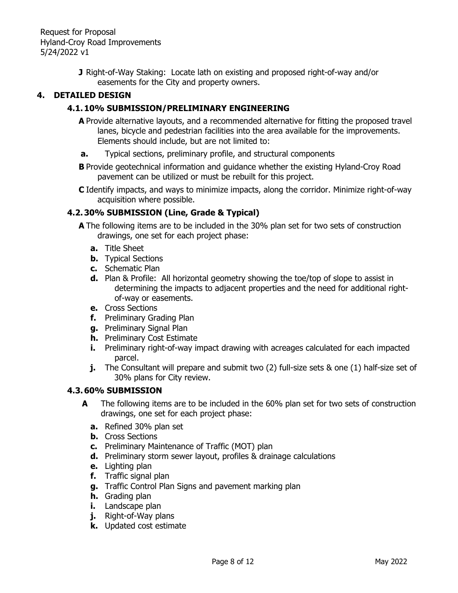> **J** Right-of-Way Staking: Locate lath on existing and proposed right-of-way and/or easements for the City and property owners.

### **4. DETAILED DESIGN**

### **4.1.10% SUBMISSION/PRELIMINARY ENGINEERING**

- **A** Provide alternative layouts, and a recommended alternative for fitting the proposed travel lanes, bicycle and pedestrian facilities into the area available for the improvements. Elements should include, but are not limited to:
- **a.** Typical sections, preliminary profile, and structural components
- **B** Provide geotechnical information and guidance whether the existing Hyland-Croy Road pavement can be utilized or must be rebuilt for this project.
- **C** Identify impacts, and ways to minimize impacts, along the corridor. Minimize right-of-way acquisition where possible.

#### **4.2.30% SUBMISSION (Line, Grade & Typical)**

**A** The following items are to be included in the 30% plan set for two sets of construction drawings, one set for each project phase:

- **a.** Title Sheet
- **b.** Typical Sections
- **c.** Schematic Plan
- **d.** Plan & Profile: All horizontal geometry showing the toe/top of slope to assist in determining the impacts to adjacent properties and the need for additional rightof-way or easements.
- **e.** Cross Sections
- **f.** Preliminary Grading Plan
- **g.** Preliminary Signal Plan
- **h.** Preliminary Cost Estimate
- **i.** Preliminary right-of-way impact drawing with acreages calculated for each impacted parcel.
- **j.** The Consultant will prepare and submit two (2) full-size sets & one (1) half-size set of 30% plans for City review.

#### **4.3.60% SUBMISSION**

- **A** The following items are to be included in the 60% plan set for two sets of construction drawings, one set for each project phase:
	- **a.** Refined 30% plan set
	- **b.** Cross Sections
	- **c.** Preliminary Maintenance of Traffic (MOT) plan
	- **d.** Preliminary storm sewer layout, profiles & drainage calculations
	- **e.** Lighting plan
	- **f.** Traffic signal plan
	- **g.** Traffic Control Plan Signs and pavement marking plan
	- **h.** Grading plan
	- **i.** Landscape plan
	- **j.** Right-of-Way plans
	- **k.** Updated cost estimate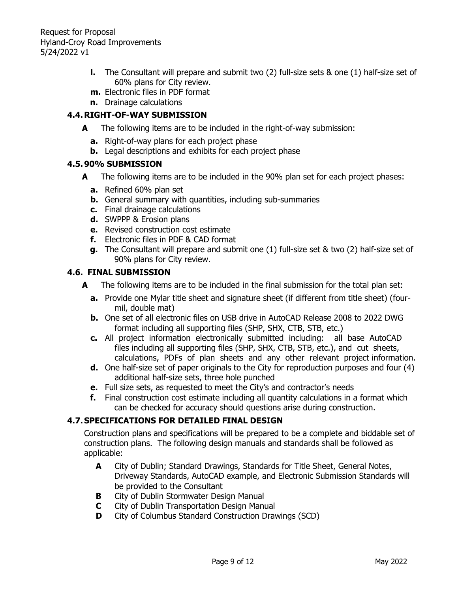- **l.** The Consultant will prepare and submit two (2) full-size sets & one (1) half-size set of 60% plans for City review.
- **m.** Electronic files in PDF format
- **n.** Drainage calculations

## **4.4.RIGHT-OF-WAY SUBMISSION**

- **A** The following items are to be included in the right-of-way submission:
	- **a.** Right-of-way plans for each project phase
	- **b.** Legal descriptions and exhibits for each project phase

#### **4.5.90% SUBMISSION**

- **A** The following items are to be included in the 90% plan set for each project phases:
	- **a.** Refined 60% plan set
	- **b.** General summary with quantities, including sub-summaries
	- **c.** Final drainage calculations
	- **d.** SWPPP & Erosion plans
	- **e.** Revised construction cost estimate
	- **f.** Electronic files in PDF & CAD format
	- **g.** The Consultant will prepare and submit one (1) full-size set & two (2) half-size set of 90% plans for City review.

#### **4.6. FINAL SUBMISSION**

- **A** The following items are to be included in the final submission for the total plan set:
	- **a.** Provide one Mylar title sheet and signature sheet (if different from title sheet) (fourmil, double mat)
	- **b.** One set of all electronic files on USB drive in AutoCAD Release 2008 to 2022 DWG format including all supporting files (SHP, SHX, CTB, STB, etc.)
	- **c.** All project information electronically submitted including: all base AutoCAD files including all supporting files (SHP, SHX, CTB, STB, etc.), and cut sheets, calculations, PDFs of plan sheets and any other relevant project information.
	- **d.** One half-size set of paper originals to the City for reproduction purposes and four (4) additional half-size sets, three hole punched
	- **e.** Full size sets, as requested to meet the City's and contractor's needs
	- **f.** Final construction cost estimate including all quantity calculations in a format which can be checked for accuracy should questions arise during construction.

## **4.7.SPECIFICATIONS FOR DETAILED FINAL DESIGN**

Construction plans and specifications will be prepared to be a complete and biddable set of construction plans. The following design manuals and standards shall be followed as applicable:

- **A** City of Dublin; Standard Drawings, Standards for Title Sheet, General Notes, Driveway Standards, AutoCAD example, and Electronic Submission Standards will be provided to the Consultant
- **B** City of Dublin Stormwater Design Manual
- **C** City of Dublin Transportation Design Manual
- **D** City of Columbus Standard Construction Drawings (SCD)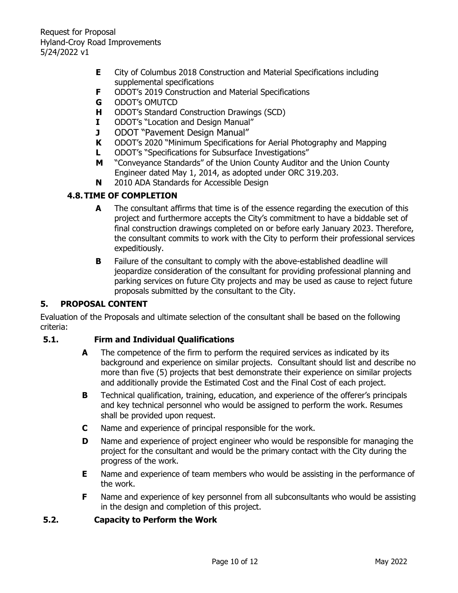- **E** City of Columbus 2018 Construction and Material Specifications including supplemental specifications
- **F** ODOT's 2019 Construction and Material Specifications
- **G** ODOT's OMUTCD
- **H** ODOT's Standard Construction Drawings (SCD)
- **I** ODOT's "Location and Design Manual"
- **J** ODOT "Pavement Design Manual"
- **K** ODOT's 2020 "Minimum Specifications for Aerial Photography and Mapping
- **L** ODOT's "Specifications for Subsurface Investigations"
- **M** "Conveyance Standards" of the Union County Auditor and the Union County Engineer dated May 1, 2014, as adopted under ORC 319.203.
- **N** 2010 ADA Standards for Accessible Design

## **4.8.TIME OF COMPLETION**

- **A** The consultant affirms that time is of the essence regarding the execution of this project and furthermore accepts the City's commitment to have a biddable set of final construction drawings completed on or before early January 2023. Therefore, the consultant commits to work with the City to perform their professional services expeditiously.
- **B** Failure of the consultant to comply with the above-established deadline will jeopardize consideration of the consultant for providing professional planning and parking services on future City projects and may be used as cause to reject future proposals submitted by the consultant to the City.

#### **5. PROPOSAL CONTENT**

Evaluation of the Proposals and ultimate selection of the consultant shall be based on the following criteria:

### **5.1. Firm and Individual Qualifications**

- **A** The competence of the firm to perform the required services as indicated by its background and experience on similar projects. Consultant should list and describe no more than five (5) projects that best demonstrate their experience on similar projects and additionally provide the Estimated Cost and the Final Cost of each project.
- **B** Technical qualification, training, education, and experience of the offerer's principals and key technical personnel who would be assigned to perform the work. Resumes shall be provided upon request.
- **C** Name and experience of principal responsible for the work.
- **D** Name and experience of project engineer who would be responsible for managing the project for the consultant and would be the primary contact with the City during the progress of the work.
- **E** Name and experience of team members who would be assisting in the performance of the work.
- **F** Name and experience of key personnel from all subconsultants who would be assisting in the design and completion of this project.

#### **5.2. Capacity to Perform the Work**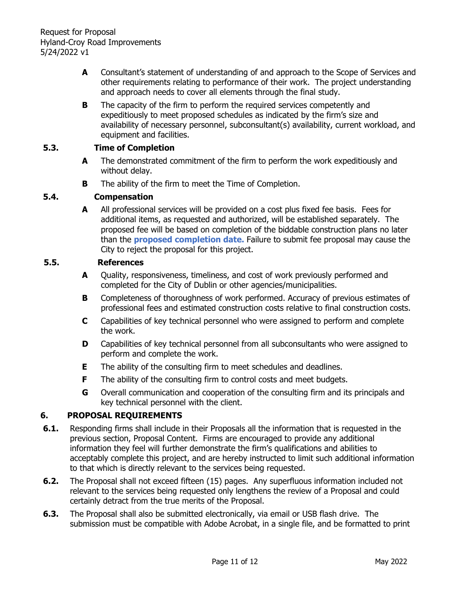- **A** Consultant's statement of understanding of and approach to the Scope of Services and other requirements relating to performance of their work. The project understanding and approach needs to cover all elements through the final study.
- **B** The capacity of the firm to perform the required services competently and expeditiously to meet proposed schedules as indicated by the firm's size and availability of necessary personnel, subconsultant(s) availability, current workload, and equipment and facilities.

## **5.3. Time of Completion**

- **A** The demonstrated commitment of the firm to perform the work expeditiously and without delay.
- **B** The ability of the firm to meet the Time of Completion.

#### **5.4. Compensation**

**A** All professional services will be provided on a cost plus fixed fee basis. Fees for additional items, as requested and authorized, will be established separately. The proposed fee will be based on completion of the biddable construction plans no later than the **proposed completion date.** Failure to submit fee proposal may cause the City to reject the proposal for this project.

#### **5.5. References**

- **A** Quality, responsiveness, timeliness, and cost of work previously performed and completed for the City of Dublin or other agencies/municipalities.
- **B** Completeness of thoroughness of work performed. Accuracy of previous estimates of professional fees and estimated construction costs relative to final construction costs.
- **C** Capabilities of key technical personnel who were assigned to perform and complete the work.
- **D** Capabilities of key technical personnel from all subconsultants who were assigned to perform and complete the work.
- **E** The ability of the consulting firm to meet schedules and deadlines.
- **F** The ability of the consulting firm to control costs and meet budgets.
- **G** Overall communication and cooperation of the consulting firm and its principals and key technical personnel with the client.

## **6. PROPOSAL REQUIREMENTS**

- **6.1.** Responding firms shall include in their Proposals all the information that is requested in the previous section, Proposal Content. Firms are encouraged to provide any additional information they feel will further demonstrate the firm's qualifications and abilities to acceptably complete this project, and are hereby instructed to limit such additional information to that which is directly relevant to the services being requested.
- **6.2.** The Proposal shall not exceed fifteen (15) pages. Any superfluous information included not relevant to the services being requested only lengthens the review of a Proposal and could certainly detract from the true merits of the Proposal.
- **6.3.** The Proposal shall also be submitted electronically, via email or USB flash drive. The submission must be compatible with Adobe Acrobat, in a single file, and be formatted to print